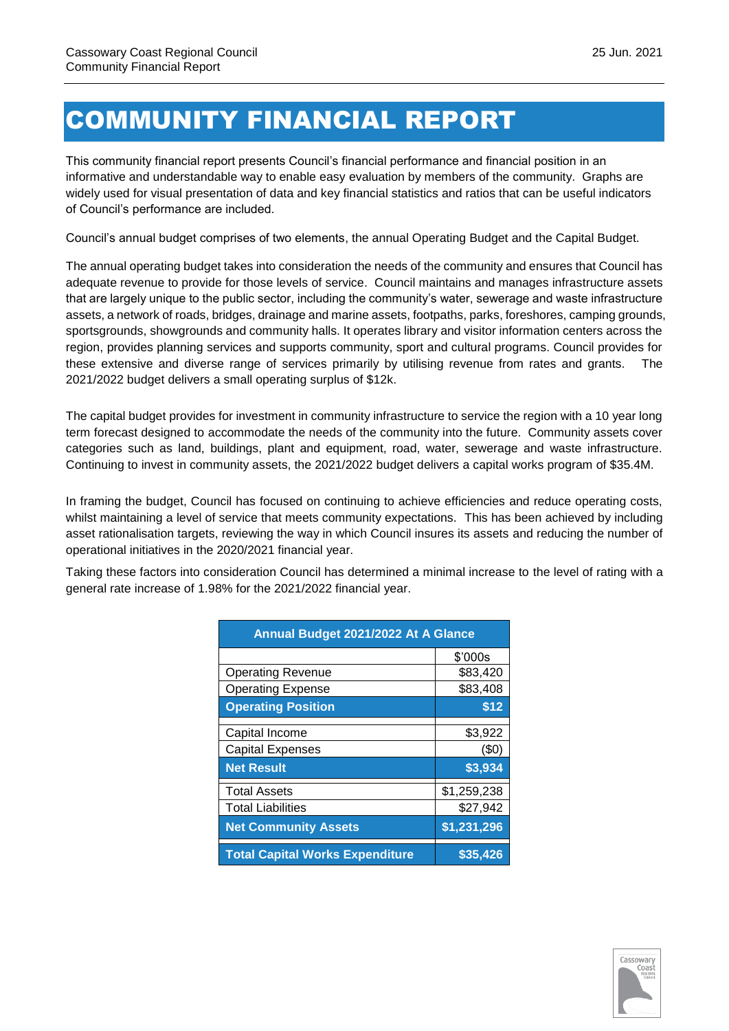# COMMUNITY FINANCIAL REPORT

This community financial report presents Council's financial performance and financial position in an informative and understandable way to enable easy evaluation by members of the community. Graphs are widely used for visual presentation of data and key financial statistics and ratios that can be useful indicators of Council's performance are included.

Council's annual budget comprises of two elements, the annual Operating Budget and the Capital Budget.

The annual operating budget takes into consideration the needs of the community and ensures that Council has adequate revenue to provide for those levels of service. Council maintains and manages infrastructure assets that are largely unique to the public sector, including the community's water, sewerage and waste infrastructure assets, a network of roads, bridges, drainage and marine assets, footpaths, parks, foreshores, camping grounds, sportsgrounds, showgrounds and community halls. It operates library and visitor information centers across the region, provides planning services and supports community, sport and cultural programs. Council provides for these extensive and diverse range of services primarily by utilising revenue from rates and grants. The 2021/2022 budget delivers a small operating surplus of \$12k.

The capital budget provides for investment in community infrastructure to service the region with a 10 year long term forecast designed to accommodate the needs of the community into the future. Community assets cover categories such as land, buildings, plant and equipment, road, water, sewerage and waste infrastructure. Continuing to invest in community assets, the 2021/2022 budget delivers a capital works program of \$35.4M.

In framing the budget, Council has focused on continuing to achieve efficiencies and reduce operating costs, whilst maintaining a level of service that meets community expectations. This has been achieved by including asset rationalisation targets, reviewing the way in which Council insures its assets and reducing the number of operational initiatives in the 2020/2021 financial year.

Taking these factors into consideration Council has determined a minimal increase to the level of rating with a general rate increase of 1.98% for the 2021/2022 financial year.

| Annual Budget 2021/2022 At A Glance    |             |  |  |  |  |  |
|----------------------------------------|-------------|--|--|--|--|--|
|                                        | \$'000s     |  |  |  |  |  |
| <b>Operating Revenue</b>               | \$83,420    |  |  |  |  |  |
| <b>Operating Expense</b>               | \$83,408    |  |  |  |  |  |
| <b>Operating Position</b>              | \$12        |  |  |  |  |  |
| Capital Income                         | \$3,922     |  |  |  |  |  |
| <b>Capital Expenses</b>                | (50)        |  |  |  |  |  |
| <b>Net Result</b>                      | \$3,934     |  |  |  |  |  |
| <b>Total Assets</b>                    | \$1,259,238 |  |  |  |  |  |
| <b>Total Liabilities</b>               | \$27,942    |  |  |  |  |  |
| <b>Net Community Assets</b>            | \$1,231,296 |  |  |  |  |  |
| <b>Total Capital Works Expenditure</b> | \$35,426    |  |  |  |  |  |

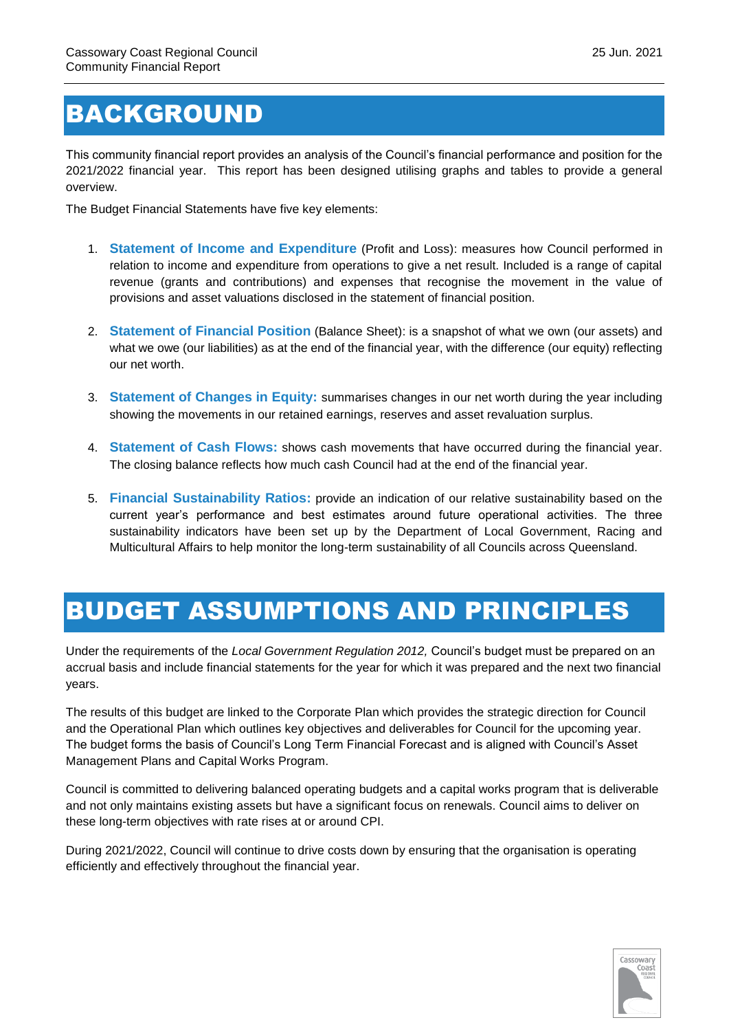#### BACKGROUND

This community financial report provides an analysis of the Council's financial performance and position for the 2021/2022 financial year. This report has been designed utilising graphs and tables to provide a general overview.

The Budget Financial Statements have five key elements:

- 1. **Statement of Income and Expenditure** (Profit and Loss): measures how Council performed in relation to income and expenditure from operations to give a net result. Included is a range of capital revenue (grants and contributions) and expenses that recognise the movement in the value of provisions and asset valuations disclosed in the statement of financial position.
- 2. **Statement of Financial Position** (Balance Sheet): is a snapshot of what we own (our assets) and what we owe (our liabilities) as at the end of the financial year, with the difference (our equity) reflecting our net worth.
- 3. **Statement of Changes in Equity:** summarises changes in our net worth during the year including showing the movements in our retained earnings, reserves and asset revaluation surplus.
- 4. **Statement of Cash Flows:** shows cash movements that have occurred during the financial year. The closing balance reflects how much cash Council had at the end of the financial year.
- 5. **Financial Sustainability Ratios:** provide an indication of our relative sustainability based on the current year's performance and best estimates around future operational activities. The three sustainability indicators have been set up by the Department of Local Government, Racing and Multicultural Affairs to help monitor the long-term sustainability of all Councils across Queensland.

#### BUDGET ASSUMPTIONS AND PRINCIPLES

Under the requirements of the *Local Government Regulation 2012,* Council's budget must be prepared on an accrual basis and include financial statements for the year for which it was prepared and the next two financial years.

The results of this budget are linked to the Corporate Plan which provides the strategic direction for Council and the Operational Plan which outlines key objectives and deliverables for Council for the upcoming year. The budget forms the basis of Council's Long Term Financial Forecast and is aligned with Council's Asset Management Plans and Capital Works Program.

Council is committed to delivering balanced operating budgets and a capital works program that is deliverable and not only maintains existing assets but have a significant focus on renewals. Council aims to deliver on these long-term objectives with rate rises at or around CPI.

During 2021/2022, Council will continue to drive costs down by ensuring that the organisation is operating efficiently and effectively throughout the financial year.

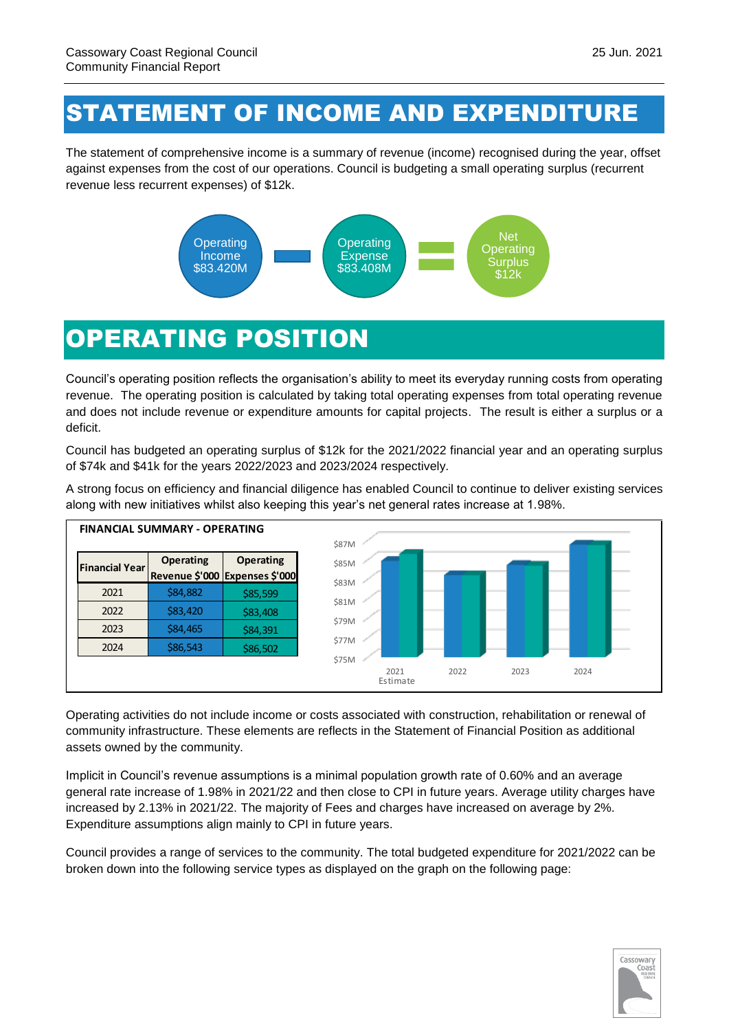#### STATEMENT OF INCOME AND EXPENDITURE

The statement of comprehensive income is a summary of revenue (income) recognised during the year, offset against expenses from the cost of our operations. Council is budgeting a small operating surplus (recurrent revenue less recurrent expenses) of \$12k.



#### OPERATING POSITION

Council's operating position reflects the organisation's ability to meet its everyday running costs from operating revenue. The operating position is calculated by taking total operating expenses from total operating revenue and does not include revenue or expenditure amounts for capital projects. The result is either a surplus or a deficit.

Council has budgeted an operating surplus of \$12k for the 2021/2022 financial year and an operating surplus of \$74k and \$41k for the years 2022/2023 and 2023/2024 respectively.

A strong focus on efficiency and financial diligence has enabled Council to continue to deliver existing services along with new initiatives whilst also keeping this year's net general rates increase at 1.98%.



Operating activities do not include income or costs associated with construction, rehabilitation or renewal of community infrastructure. These elements are reflects in the Statement of Financial Position as additional assets owned by the community.

Implicit in Council's revenue assumptions is a minimal population growth rate of 0.60% and an average general rate increase of 1.98% in 2021/22 and then close to CPI in future years. Average utility charges have increased by 2.13% in 2021/22. The majority of Fees and charges have increased on average by 2%. Expenditure assumptions align mainly to CPI in future years.

Council provides a range of services to the community. The total budgeted expenditure for 2021/2022 can be broken down into the following service types as displayed on the graph on the following page:

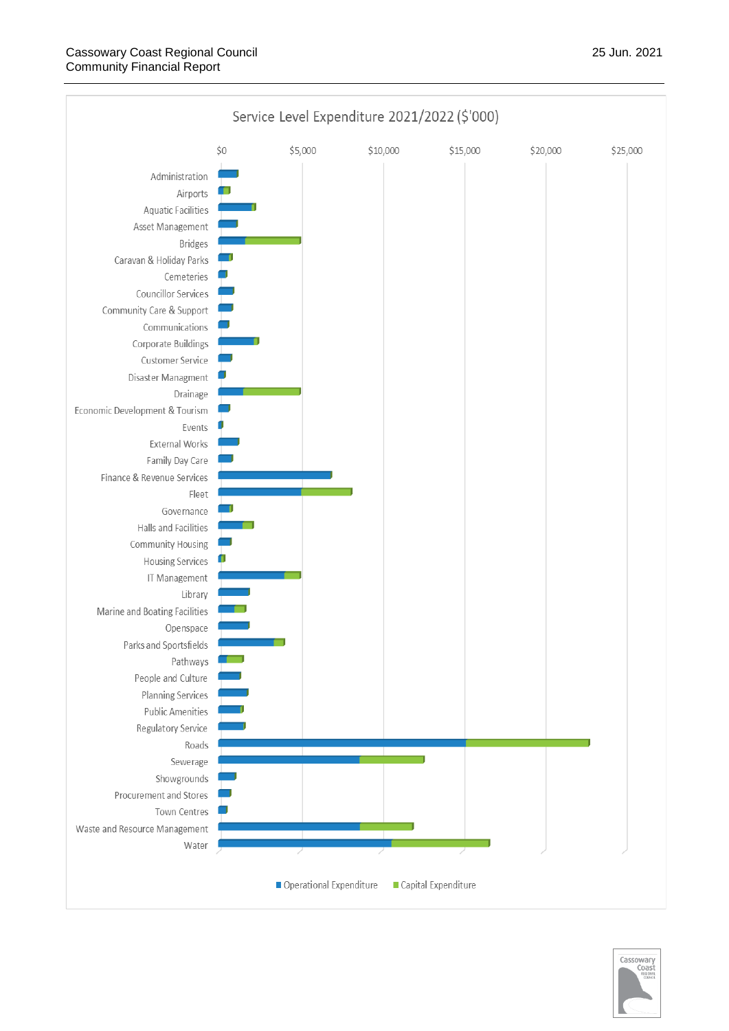

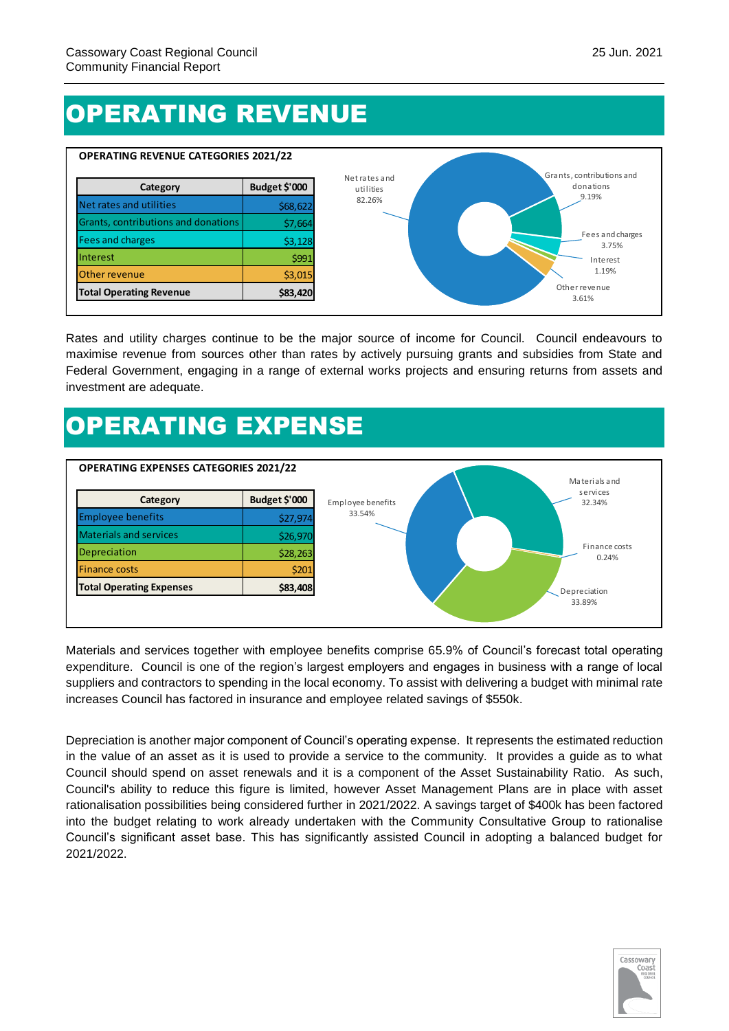# OPERATING REVENUE



Rates and utility charges continue to be the major source of income for Council. Council endeavours to maximise revenue from sources other than rates by actively pursuing grants and subsidies from State and Federal Government, engaging in a range of external works projects and ensuring returns from assets and investment are adequate.

# OPERATING EXPENSE



Materials and services together with employee benefits comprise 65.9% of Council's forecast total operating expenditure. Council is one of the region's largest employers and engages in business with a range of local suppliers and contractors to spending in the local economy. To assist with delivering a budget with minimal rate increases Council has factored in insurance and employee related savings of \$550k.

Depreciation is another major component of Council's operating expense. It represents the estimated reduction in the value of an asset as it is used to provide a service to the community. It provides a guide as to what Council should spend on asset renewals and it is a component of the Asset Sustainability Ratio. As such, Council's ability to reduce this figure is limited, however Asset Management Plans are in place with asset rationalisation possibilities being considered further in 2021/2022. A savings target of \$400k has been factored into the budget relating to work already undertaken with the Community Consultative Group to rationalise Council's significant asset base. This has significantly assisted Council in adopting a balanced budget for 2021/2022.

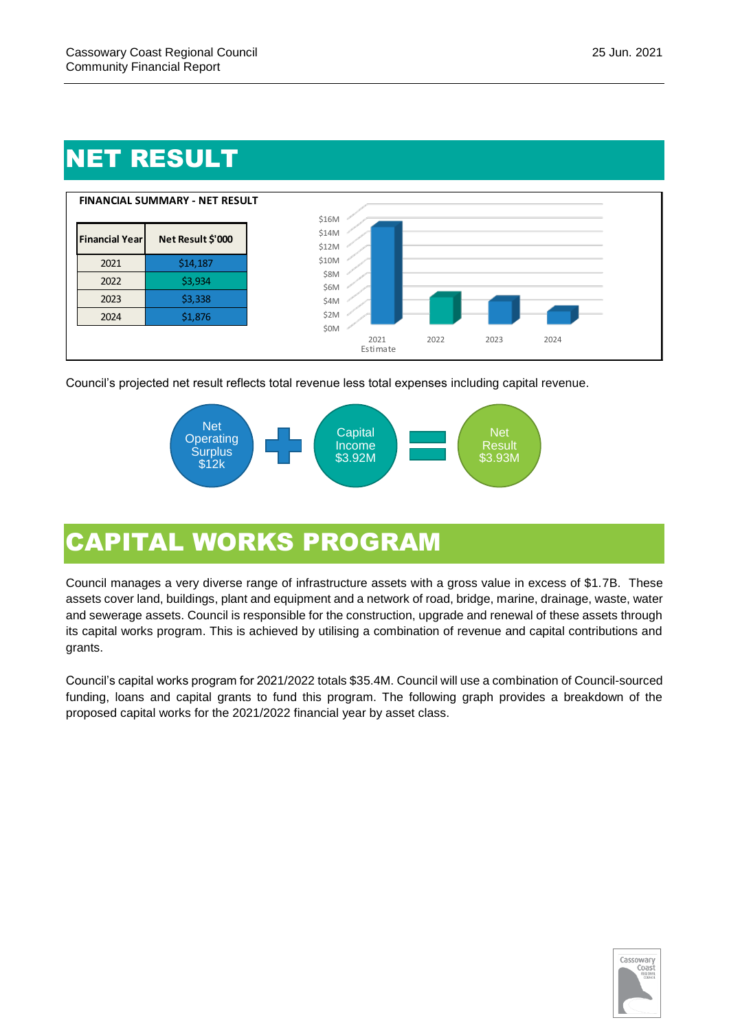# NET RESULT



Council's projected net result reflects total revenue less total expenses including capital revenue.



# CAPITAL WORKS PROGRAM

Council manages a very diverse range of infrastructure assets with a gross value in excess of \$1.7B. These assets cover land, buildings, plant and equipment and a network of road, bridge, marine, drainage, waste, water and sewerage assets. Council is responsible for the construction, upgrade and renewal of these assets through its capital works program. This is achieved by utilising a combination of revenue and capital contributions and grants.

Council's capital works program for 2021/2022 totals \$35.4M. Council will use a combination of Council-sourced funding, loans and capital grants to fund this program. The following graph provides a breakdown of the proposed capital works for the 2021/2022 financial year by asset class.

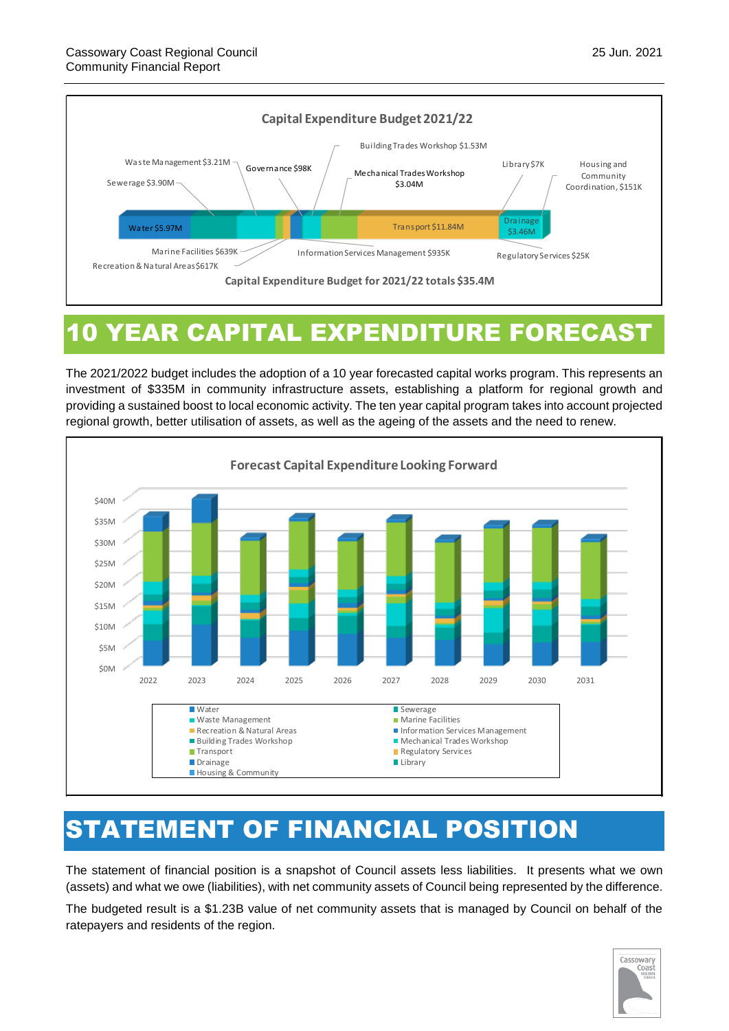

#### 10 YEAR CAPITAL EXPENDITURE FORECAST

The 2021/2022 budget includes the adoption of a 10 year forecasted capital works program. This represents an investment of \$335M in community infrastructure assets, establishing a platform for regional growth and providing a sustained boost to local economic activity. The ten year capital program takes into account projected regional growth, better utilisation of assets, as well as the ageing of the assets and the need to renew.



#### STATEMENT OF FINANCIAL POSITION

The statement of financial position is a snapshot of Council assets less liabilities. It presents what we own (assets) and what we owe (liabilities), with net community assets of Council being represented by the difference.

The budgeted result is a \$1.23B value of net community assets that is managed by Council on behalf of the ratepayers and residents of the region.

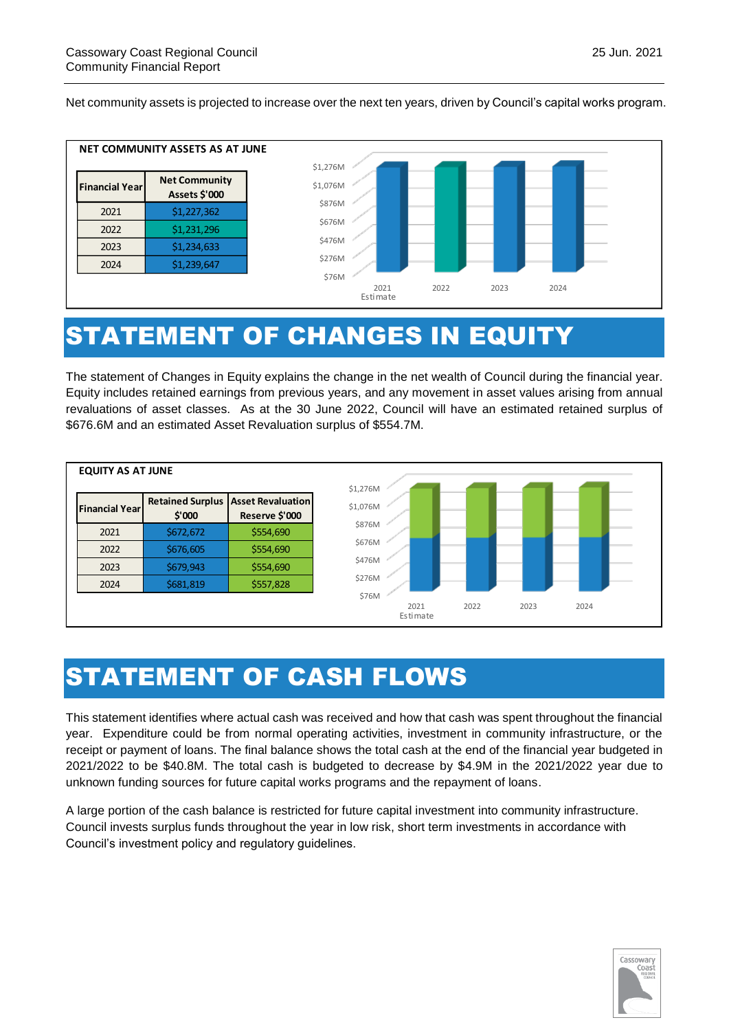

#### STATEMENT OF CHANGES IN EQUITY

The statement of Changes in Equity explains the change in the net wealth of Council during the financial year. Equity includes retained earnings from previous years, and any movement in asset values arising from annual revaluations of asset classes. As at the 30 June 2022, Council will have an estimated retained surplus of \$676.6M and an estimated Asset Revaluation surplus of \$554.7M.



#### STATEMENT OF CASH FLOWS

This statement identifies where actual cash was received and how that cash was spent throughout the financial year. Expenditure could be from normal operating activities, investment in community infrastructure, or the receipt or payment of loans. The final balance shows the total cash at the end of the financial year budgeted in 2021/2022 to be \$40.8M. The total cash is budgeted to decrease by \$4.9M in the 2021/2022 year due to unknown funding sources for future capital works programs and the repayment of loans.

A large portion of the cash balance is restricted for future capital investment into community infrastructure. Council invests surplus funds throughout the year in low risk, short term investments in accordance with Council's investment policy and regulatory guidelines.

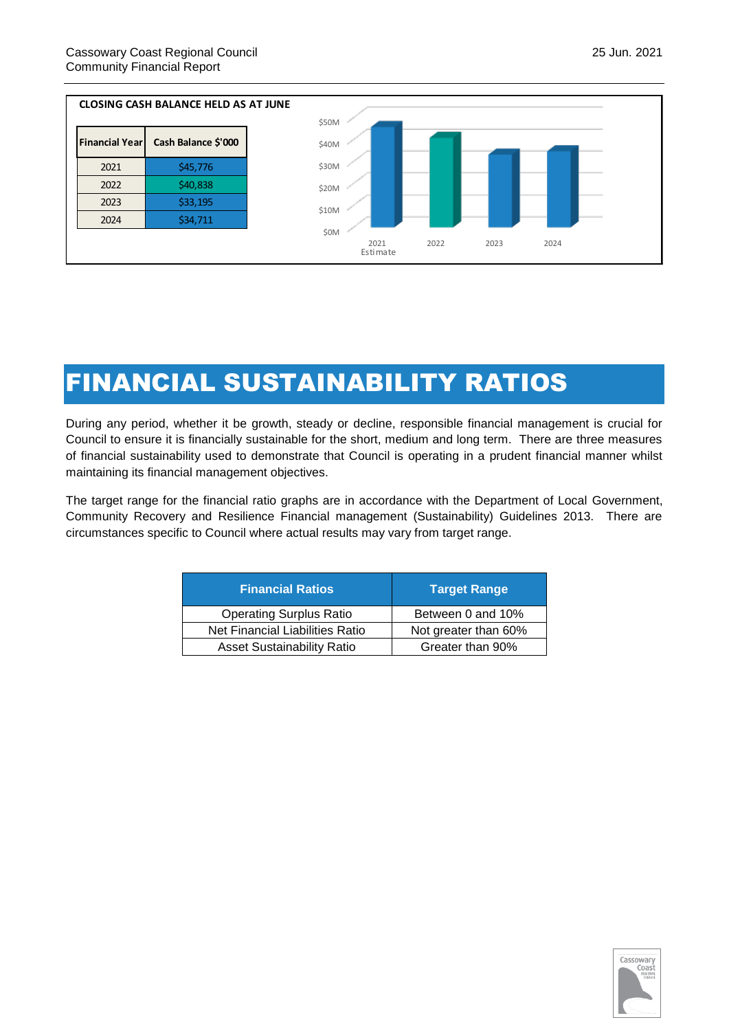

### FINANCIAL SUSTAINABILITY RATIOS

During any period, whether it be growth, steady or decline, responsible financial management is crucial for Council to ensure it is financially sustainable for the short, medium and long term. There are three measures of financial sustainability used to demonstrate that Council is operating in a prudent financial manner whilst maintaining its financial management objectives.

The target range for the financial ratio graphs are in accordance with the Department of Local Government, Community Recovery and Resilience Financial management (Sustainability) Guidelines 2013. There are circumstances specific to Council where actual results may vary from target range.

| <b>Financial Ratios</b>           | <b>Target Range</b>  |
|-----------------------------------|----------------------|
| <b>Operating Surplus Ratio</b>    | Between 0 and 10%    |
| Net Financial Liabilities Ratio   | Not greater than 60% |
| <b>Asset Sustainability Ratio</b> | Greater than 90%     |

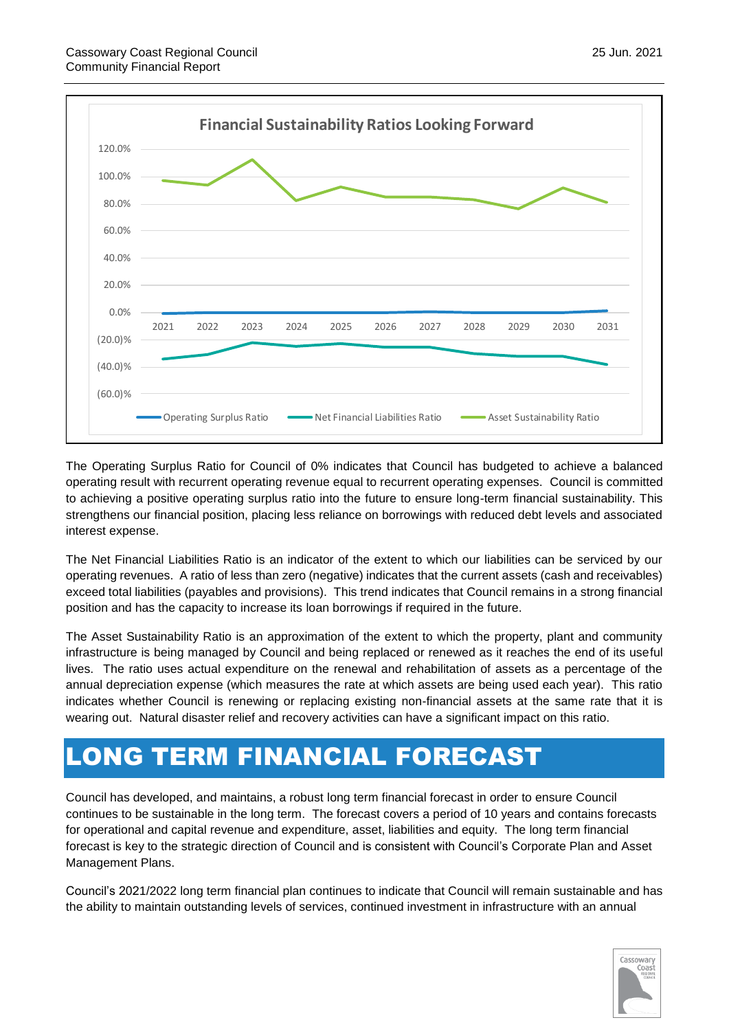

The Operating Surplus Ratio for Council of 0% indicates that Council has budgeted to achieve a balanced operating result with recurrent operating revenue equal to recurrent operating expenses. Council is committed to achieving a positive operating surplus ratio into the future to ensure long-term financial sustainability. This strengthens our financial position, placing less reliance on borrowings with reduced debt levels and associated interest expense.

The Net Financial Liabilities Ratio is an indicator of the extent to which our liabilities can be serviced by our operating revenues. A ratio of less than zero (negative) indicates that the current assets (cash and receivables) exceed total liabilities (payables and provisions). This trend indicates that Council remains in a strong financial position and has the capacity to increase its loan borrowings if required in the future.

The Asset Sustainability Ratio is an approximation of the extent to which the property, plant and community infrastructure is being managed by Council and being replaced or renewed as it reaches the end of its useful lives. The ratio uses actual expenditure on the renewal and rehabilitation of assets as a percentage of the annual depreciation expense (which measures the rate at which assets are being used each year). This ratio indicates whether Council is renewing or replacing existing non-financial assets at the same rate that it is wearing out. Natural disaster relief and recovery activities can have a significant impact on this ratio.

#### LONG TERM FINANCIAL FORECAST

Council has developed, and maintains, a robust long term financial forecast in order to ensure Council continues to be sustainable in the long term. The forecast covers a period of 10 years and contains forecasts for operational and capital revenue and expenditure, asset, liabilities and equity. The long term financial forecast is key to the strategic direction of Council and is consistent with Council's Corporate Plan and Asset Management Plans.

Council's 2021/2022 long term financial plan continues to indicate that Council will remain sustainable and has the ability to maintain outstanding levels of services, continued investment in infrastructure with an annual

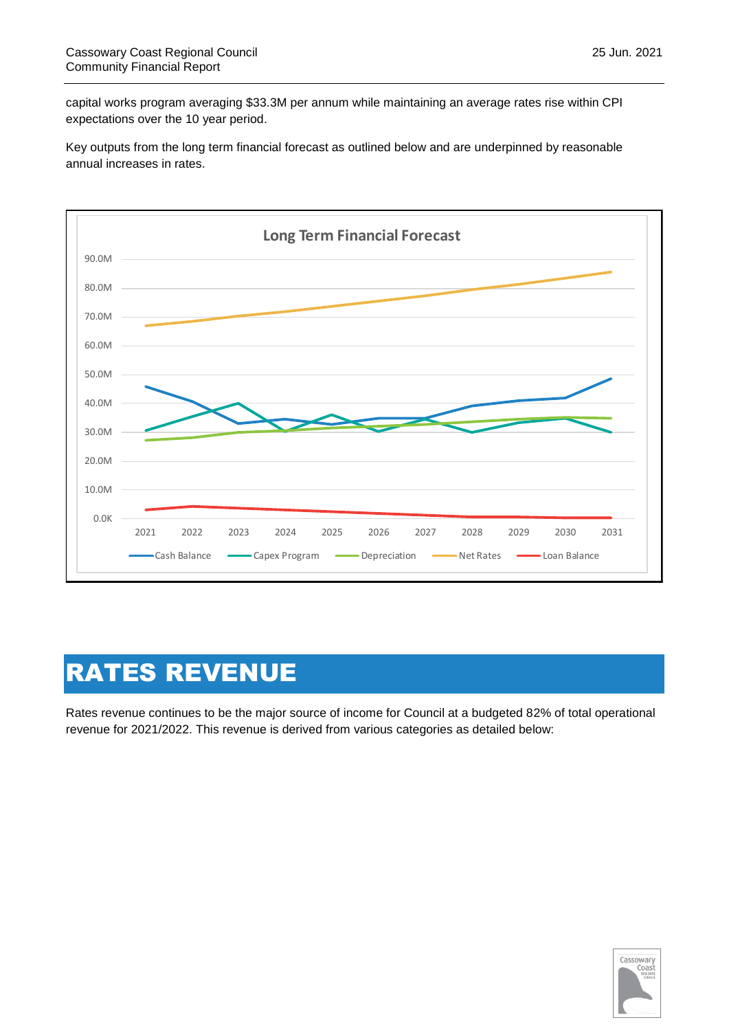capital works program averaging \$33.3M per annum while maintaining an average rates rise within CPI expectations over the 10 year period.

Key outputs from the long term financial forecast as outlined below and are underpinned by reasonable annual increases in rates.



# RATES REVENUE

Rates revenue continues to be the major source of income for Council at a budgeted 82% of total operational revenue for 2021/2022. This revenue is derived from various categories as detailed below:

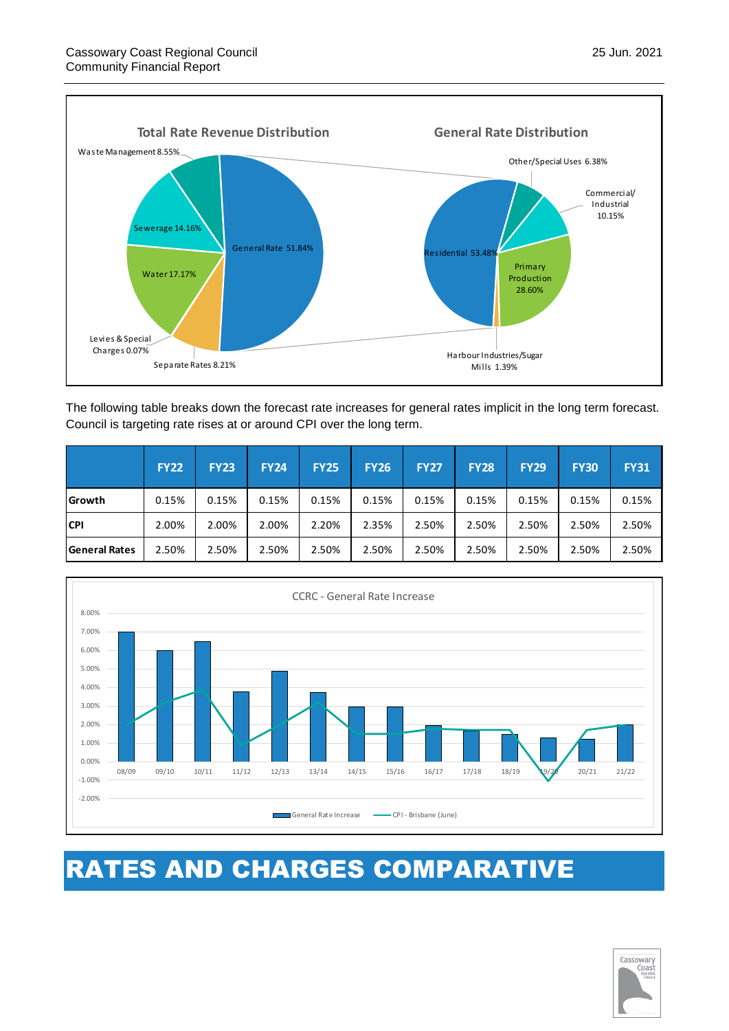Separate Rates 8.21%

Levies & Special Charges 0.07%



The following table breaks down the forecast rate increases for general rates implicit in the long term forecast. Council is targeting rate rises at or around CPI over the long term.

|                      | <b>FY22</b> | <b>FY23</b> | <b>FY24</b> | <b>FY25</b> | <b>FY26</b> | <b>FY27</b> | <b>FY28</b> | <b>FY29</b> | <b>FY30</b> | <b>FY31</b> |
|----------------------|-------------|-------------|-------------|-------------|-------------|-------------|-------------|-------------|-------------|-------------|
| Growth               | 0.15%       | 0.15%       | 0.15%       | 0.15%       | 0.15%       | 0.15%       | 0.15%       | 0.15%       | 0.15%       | 0.15%       |
| <b>CPI</b>           | 2.00%       | 2.00%       | 2.00%       | 2.20%       | 2.35%       | 2.50%       | 2.50%       | 2.50%       | 2.50%       | 2.50%       |
| <b>General Rates</b> | 2.50%       | 2.50%       | 2.50%       | 2.50%       | 2.50%       | 2.50%       | 2.50%       | 2.50%       | 2.50%       | 2.50%       |



# RATES AND CHARGES COMPARATIVE



Production 28.60%

Harbour Industries/Sugar Mills 1.39%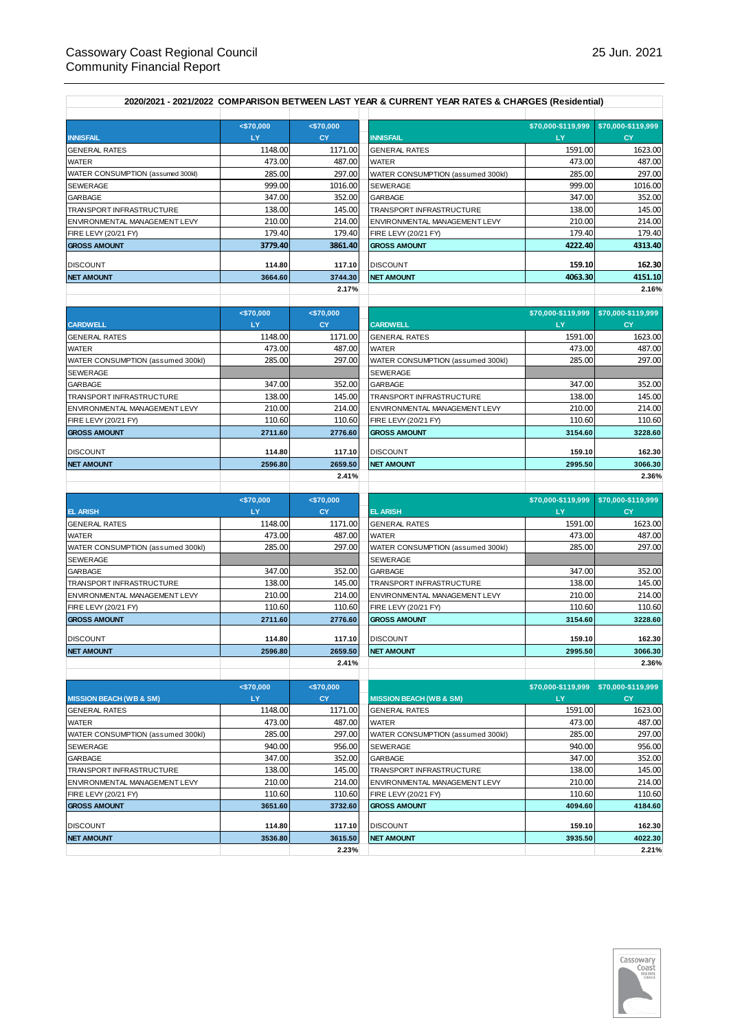| 2020/2021 - 2021/2022 COMPARISON BETWEEN LAST YEAR & CURRENT YEAR RATES & CHARGES (Residential) |                     |                         |                                                           |                          |                                       |  |  |
|-------------------------------------------------------------------------------------------------|---------------------|-------------------------|-----------------------------------------------------------|--------------------------|---------------------------------------|--|--|
| <b>INNISFAIL</b>                                                                                | $<$ \$70,000<br>LY. | < \$70,000<br><b>CY</b> | <b>INNISFAIL</b>                                          | \$70,000-\$119.999<br>LY | \$70,000-\$119,999<br><b>CY</b>       |  |  |
| <b>GENERAL RATES</b>                                                                            | 1148.00             | 1171.00                 | <b>GENERAL RATES</b>                                      | 1591.00                  | 1623.00                               |  |  |
| WATER                                                                                           | 473.00              | 487.00                  | <b>WATER</b>                                              | 473.00                   | 487.00                                |  |  |
| WATER CONSUMPTION (assumed 300kl)                                                               | 285.00              | 297.00                  | WATER CONSUMPTION (assumed 300kl)                         | 285.00                   | 297.00                                |  |  |
| SEWERAGE                                                                                        | 999.00              | 1016.00                 | SEWERAGE                                                  | 999.00                   | 1016.00                               |  |  |
| <b>GARBAGE</b>                                                                                  | 347.00              | 352.00                  | GARBAGE                                                   | 347.00                   | 352.00                                |  |  |
| TRANSPORT INFRASTRUCTURE                                                                        | 138.00              | 145.00                  | TRANSPORT INFRASTRUCTURE                                  | 138.00                   | 145.00                                |  |  |
| ENVIRONMENTAL MANAGEMENT LEVY                                                                   | 210.00              | 214.00                  | ENVIRONMENTAL MANAGEMENT LEVY                             | 210.00                   | 214.00                                |  |  |
| FIRE LEVY (20/21 FY)                                                                            | 179.40              | 179.40                  | FIRE LEVY (20/21 FY)                                      | 179.40                   | 179.40                                |  |  |
| <b>GROSS AMOUNT</b>                                                                             | 3779.40             | 3861.40                 | <b>GROSS AMOUNT</b>                                       | 4222.40                  | 4313.40                               |  |  |
| <b>DISCOUNT</b>                                                                                 | 114.80              | 117.10                  | <b>DISCOUNT</b>                                           | 159.10                   | 162.30                                |  |  |
| <b>NET AMOUNT</b>                                                                               | 3664.60             | 3744.30                 | <b>NET AMOUNT</b>                                         | 4063.30                  | 4151.10                               |  |  |
|                                                                                                 |                     | 2.17%                   |                                                           |                          | 2.16%                                 |  |  |
|                                                                                                 | < \$70,000          | < \$70,000              |                                                           | \$70,000-\$119,999       | \$70,000-\$119,999                    |  |  |
| <b>CARDWELL</b>                                                                                 | LY.                 | <b>CY</b>               | <b>CARDWELL</b>                                           | LY                       | <b>CY</b>                             |  |  |
| <b>GENERAL RATES</b>                                                                            | 1148.00             | 1171.00                 | <b>GENERAL RATES</b>                                      | 1591.00                  | 1623.00                               |  |  |
| WATER                                                                                           | 473.00              | 487.00                  | <b>WATER</b>                                              | 473.00                   | 487.00                                |  |  |
| WATER CONSUMPTION (assumed 300kl)                                                               | 285.00              | 297.00                  | WATER CONSUMPTION (assumed 300kl)                         | 285.00                   | 297.00                                |  |  |
| SEWERAGE                                                                                        |                     |                         | SEWERAGE                                                  |                          |                                       |  |  |
| <b>GARBAGE</b>                                                                                  | 347.00              | 352.00                  | GARBAGE                                                   | 347.00                   | 352.00                                |  |  |
| TRANSPORT INFRASTRUCTURE                                                                        | 138.00              | 145.00                  | TRANSPORT INFRASTRUCTURE                                  | 138.00                   | 145.00                                |  |  |
| ENVIRONMENTAL MANAGEMENT LEVY                                                                   | 210.00              | 214.00                  | ENVIRONMENTAL MANAGEMENT LEVY                             | 210.00                   | 214.00                                |  |  |
| FIRE LEVY (20/21 FY)                                                                            | 110.60              | 110.60                  | FIRE LEVY (20/21 FY)                                      | 110.60                   | 110.60                                |  |  |
| <b>GROSS AMOUNT</b>                                                                             | 2711.60             | 2776.60                 | <b>GROSS AMOUNT</b>                                       | 3154.60                  | 3228.60                               |  |  |
| <b>DISCOUNT</b>                                                                                 | 114.80              | 117.10                  | <b>DISCOUNT</b>                                           | 159.10                   | 162.30                                |  |  |
| <b>NET AMOUNT</b>                                                                               | 2596.80             | 2659.50                 | <b>NET AMOUNT</b>                                         | 2995.50                  | 3066.30                               |  |  |
|                                                                                                 |                     | 2.41%                   |                                                           |                          | 2.36%                                 |  |  |
|                                                                                                 |                     |                         |                                                           |                          |                                       |  |  |
|                                                                                                 | $<$ \$70,000        | < \$70,000              |                                                           | \$70,000-\$119,999       | \$70,000-\$119,999                    |  |  |
| <b>EL ARISH</b>                                                                                 | LY.                 | <b>CY</b>               | <b>EL ARISH</b>                                           | LY                       | CY                                    |  |  |
| <b>GENERAL RATES</b>                                                                            | 1148.00             | 1171.00                 | <b>GENERAL RATES</b>                                      | 1591.00                  | 1623.00                               |  |  |
| WATER                                                                                           | 473.00              | 487.00                  | <b>WATER</b>                                              | 473.00                   | 487.00                                |  |  |
| WATER CONSUMPTION (assumed 300kl)                                                               | 285.00              | 297.00                  | WATER CONSUMPTION (assumed 300kl)                         | 285.00                   | 297.00                                |  |  |
| SEWERAGE                                                                                        |                     | 352.00                  | SEWERAGE<br>GARBAGE                                       | 347.00                   | 352.00                                |  |  |
| <b>GARBAGE</b><br>TRANSPORT INFRASTRUCTURE                                                      | 347.00              |                         |                                                           | 138.00                   |                                       |  |  |
| ENVIRONMENTAL MANAGEMENT LEVY                                                                   | 138.00<br>210.00    | 145.00<br>214.00        | TRANSPORT INFRASTRUCTURE<br>ENVIRONMENTAL MANAGEMENT LEVY | 210.00                   | 145.00<br>214.00                      |  |  |
| FIRE LEVY (20/21 FY)                                                                            | 110.60              | 110.60                  | FIRE LEVY (20/21 FY)                                      | 110.60                   | 110.60                                |  |  |
| <b>GROSS AMOUNT</b>                                                                             | 2711.60             | 2776.60                 | <b>GROSS AMOUNT</b>                                       | 3154.60                  | 3228.60                               |  |  |
|                                                                                                 |                     |                         |                                                           |                          |                                       |  |  |
| <b>DISCOUNT</b>                                                                                 | 114.80              | 117.10                  | <b>DISCOUNT</b>                                           | 159.10                   | 162.30                                |  |  |
| <b>NET AMOUNT</b>                                                                               | 2596.80             | 2659.50<br>2.41%        | <b>NET AMOUNT</b>                                         | 2995.50                  | 3066.30<br>2.36%                      |  |  |
|                                                                                                 |                     |                         |                                                           |                          |                                       |  |  |
|                                                                                                 | < \$70,000          | < \$70,000              |                                                           |                          | \$70,000-\$119,999 \$70,000-\$119,999 |  |  |
| <b>MISSION BEACH (WB &amp; SM)</b>                                                              | LY.                 | <b>CY</b>               | <b>MISSION BEACH (WB &amp; SM)</b>                        | LY                       | CY                                    |  |  |
| <b>GENERAL RATES</b>                                                                            | 1148.00             | 1171.00                 | <b>GENERAL RATES</b>                                      | 1591.00                  | 1623.00                               |  |  |
| WATER                                                                                           | 473.00              | 487.00                  | <b>WATER</b>                                              | 473.00                   | 487.00                                |  |  |
| WATER CONSUMPTION (assumed 300kl)                                                               | 285.00              | 297.00                  | WATER CONSUMPTION (assumed 300kl)                         | 285.00                   | 297.00                                |  |  |
| SEWERAGE                                                                                        | 940.00              | 956.00                  | SEWERAGE                                                  | 940.00                   | 956.00                                |  |  |
| <b>GARBAGE</b>                                                                                  | 347.00              | 352.00                  | GARBAGE                                                   | 347.00                   | 352.00                                |  |  |
| TRANSPORT INFRASTRUCTURE                                                                        | 138.00              | 145.00                  | TRANSPORT INFRASTRUCTURE                                  | 138.00                   | 145.00                                |  |  |
| ENVIRONMENTAL MANAGEMENT LEVY                                                                   | 210.00              | 214.00                  | ENVIRONMENTAL MANAGEMENT LEVY                             | 210.00                   | 214.00                                |  |  |
| FIRE LEVY (20/21 FY)                                                                            | 110.60              | 110.60                  | FIRE LEVY (20/21 FY)                                      | 110.60                   | 110.60                                |  |  |
| <b>GROSS AMOUNT</b>                                                                             | 3651.60             | 3732.60                 | <b>GROSS AMOUNT</b>                                       | 4094.60                  | 4184.60                               |  |  |
|                                                                                                 |                     |                         |                                                           |                          |                                       |  |  |
| <b>DISCOUNT</b>                                                                                 | 114.80              | 117.10                  | <b>DISCOUNT</b>                                           | 159.10                   | 162.30                                |  |  |
| <b>NET AMOUNT</b>                                                                               | 3536.80             | 3615.50                 | <b>NET AMOUNT</b>                                         | 3935.50                  | 4022.30                               |  |  |

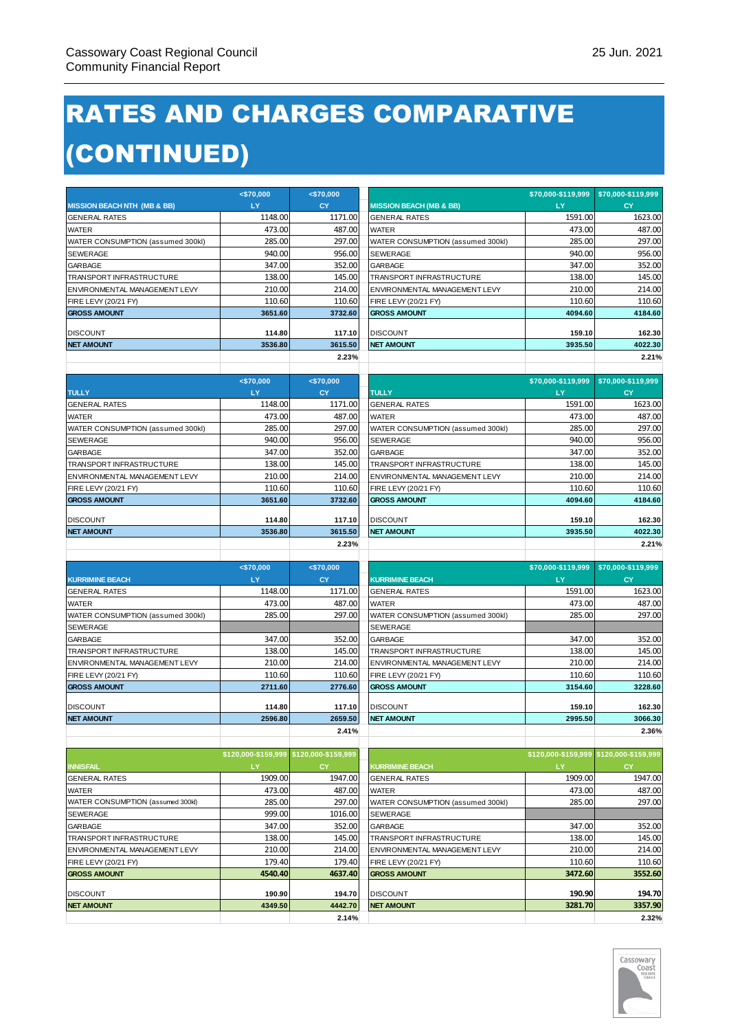# RATES AND CHARGES COMPARATIVE (CONTINUED)

|                                        | < \$70,000                              | $<$ \$70,000      |                                    |                                         |                    |
|----------------------------------------|-----------------------------------------|-------------------|------------------------------------|-----------------------------------------|--------------------|
| <b>MISSION BEACH NTH (MB &amp; BB)</b> | LY.                                     | <b>CY</b>         | <b>MISSION BEACH (MB &amp; BB)</b> | LY                                      | <b>CY</b>          |
| <b>GENERAL RATES</b>                   | 1148.00                                 | 1171.00           | <b>GENERAL RATES</b>               | 1591.00                                 | 1623.00            |
| WATER                                  | 473.00                                  | 487.00            | WATER                              | 473.00                                  | 487.00             |
| WATER CONSUMPTION (assumed 300kl)      | 285.00                                  | 297.00            | WATER CONSUMPTION (assumed 300kl)  | 285.00                                  | 297.00             |
| SEWERAGE                               | 940.00                                  | 956.00            | SEWERAGE                           | 940.00                                  | 956.00             |
| <b>GARBAGE</b>                         | 347.00                                  | 352.00            | GARBAGE                            | 347.00                                  | 352.00             |
| TRANSPORT INFRASTRUCTURE               | 138.00                                  | 145.00            | TRANSPORT INFRASTRUCTURE           | 138.00                                  | 145.00             |
| ENVIRONMENTAL MANAGEMENT LEVY          | 210.00                                  | 214.00            | ENVIRONMENTAL MANAGEMENT LEVY      | 210.00                                  | 214.00             |
| FIRE LEVY (20/21 FY)                   | 110.60                                  | 110.60            | FIRE LEVY (20/21 FY)               | 110.60                                  | 110.60             |
| <b>GROSS AMOUNT</b>                    | 3651.60                                 | 3732.60           | <b>GROSS AMOUNT</b>                | 4094.60                                 | 4184.60            |
|                                        |                                         |                   |                                    |                                         |                    |
| <b>DISCOUNT</b>                        | 114.80                                  | 117.10            | <b>DISCOUNT</b>                    | 159.10                                  | 162.30             |
| <b>NET AMOUNT</b>                      | 3536.80                                 | 3615.50           | <b>NET AMOUNT</b>                  | 3935.50                                 | 4022.30            |
|                                        |                                         | 2.23%             |                                    |                                         | 2.21%              |
|                                        |                                         |                   |                                    |                                         |                    |
|                                        | < \$70,000                              | < \$70,000        |                                    | \$70,000-\$119,999                      | \$70,000-\$119,999 |
| <b>TULLY</b>                           | LY.                                     | <b>CY</b>         | <b>TULLY</b>                       | LY                                      | <b>CY</b>          |
| <b>GENERAL RATES</b>                   | 1148.00                                 | 1171.00           | <b>GENERAL RATES</b>               | 1591.00                                 | 1623.00            |
| WATER                                  | 473.00                                  | 487.00            | <b>WATER</b>                       | 473.00                                  | 487.00             |
| WATER CONSUMPTION (assumed 300kl)      | 285.00                                  | 297.00            | WATER CONSUMPTION (assumed 300kl)  | 285.00                                  | 297.00             |
| SEWERAGE                               | 940.00                                  | 956.00            | SEWERAGE                           | 940.00                                  | 956.00             |
| GARBAGE                                | 347.00                                  | 352.00            | GARBAGE                            | 347.00                                  | 352.00             |
| TRANSPORT INFRASTRUCTURE               | 138.00                                  | 145.00            | TRANSPORT INFRASTRUCTURE           | 138.00                                  | 145.00             |
| ENVIRONMENTAL MANAGEMENT LEVY          | 210.00                                  | 214.00            | ENVIRONMENTAL MANAGEMENT LEVY      | 210.00                                  | 214.00             |
| FIRE LEVY (20/21 FY)                   | 110.60                                  | 110.60            | FIRE LEVY (20/21 FY)               | 110.60                                  | 110.60             |
| <b>GROSS AMOUNT</b>                    | 3651.60                                 | 3732.60           | <b>GROSS AMOUNT</b>                | 4094.60                                 | 4184.60            |
| DISCOUNT                               | 114.80                                  |                   | <b>DISCOUNT</b>                    |                                         | 162.30             |
| <b>NET AMOUNT</b>                      | 3536.80                                 | 117.10<br>3615.50 | <b>NET AMOUNT</b>                  | 159.10<br>3935.50                       | 4022.30            |
|                                        |                                         | 2.23%             |                                    |                                         | 2.21%              |
|                                        |                                         |                   |                                    |                                         |                    |
|                                        |                                         |                   |                                    |                                         |                    |
|                                        |                                         |                   |                                    |                                         |                    |
|                                        | $<$ \$70,000                            | < \$70,000        |                                    | \$70,000-\$119,999                      | \$70,000-\$119,999 |
| <b>KURRIMINE BEACH</b>                 | LY.                                     | <b>CY</b>         | <b>KURRIMINE BEACH</b>             | LY                                      | <b>CY</b>          |
| <b>GENERAL RATES</b>                   | 1148.00                                 | 1171.00           | <b>GENERAL RATES</b>               | 1591.00                                 | 1623.00            |
| WATER                                  | 473.00                                  | 487.00            | <b>WATER</b>                       | 473.00                                  | 487.00             |
| WATER CONSUMPTION (assumed 300kl)      | 285.00                                  | 297.00            | WATER CONSUMPTION (assumed 300kl)  | 285.00                                  | 297.00             |
| SEWERAGE                               |                                         |                   | SEWERAGE                           |                                         |                    |
| <b>GARBAGE</b>                         | 347.00                                  | 352.00            | GARBAGE                            | 347.00                                  | 352.00             |
| TRANSPORT INFRASTRUCTURE               | 138.00                                  | 145.00            | TRANSPORT INFRASTRUCTURE           | 138.00                                  | 145.00             |
| ENVIRONMENTAL MANAGEMENT LEVY          | 210.00                                  | 214.00            | ENVIRONMENTAL MANAGEMENT LEVY      | 210.00                                  | 214.00             |
| FIRE LEVY (20/21 FY)                   | 110.60                                  | 110.60            | FIRE LEVY (20/21 FY)               | 110.60                                  | 110.60             |
| <b>GROSS AMOUNT</b>                    | 2711.60                                 | 2776.60           | <b>GROSS AMOUNT</b>                | 3154.60                                 | 3228.60            |
| <b>DISCOUNT</b>                        | 114.80                                  | 117.10            | <b>DISCOUNT</b>                    | 159.10                                  | 162.30             |
| <b>NET AMOUNT</b>                      | 2596.80                                 | 2659.50           | <b>NET AMOUNT</b>                  | 2995.50                                 | 3066.30            |
|                                        |                                         | 2.41%             |                                    |                                         | 2.36%              |
|                                        |                                         |                   |                                    |                                         |                    |
|                                        | \$120,000-\$159,999 \$120,000-\$159,999 |                   |                                    | \$120,000-\$159,999 \$120,000-\$159,999 |                    |
| <b>INNISFAIL</b>                       | LY.                                     | CY.               | <b>KURRIMINE BEACH</b>             | LY                                      | <b>CY</b>          |
| <b>GENERAL RATES</b>                   | 1909.00                                 | 1947.00           | <b>GENERAL RATES</b>               | 1909.00                                 | 1947.00            |
| <b>WATER</b>                           | 473.00                                  | 487.00            | <b>WATER</b>                       | 473.00                                  | 487.00             |
| WATER CONSUMPTION (assumed 300kl)      | 285.00                                  | 297.00            | WATER CONSUMPTION (assumed 300kl)  | 285.00                                  | 297.00             |
| SEWERAGE                               | 999.00                                  | 1016.00           | SEWERAGE                           |                                         |                    |
| <b>GARBAGE</b>                         | 347.00                                  | 352.00            | GARBAGE                            | 347.00                                  | 352.00             |
| TRANSPORT INFRASTRUCTURE               | 138.00                                  | 145.00            | TRANSPORT INFRASTRUCTURE           | 138.00                                  | 145.00             |
| ENVIRONMENTAL MANAGEMENT LEVY          | 210.00                                  | 214.00            | ENVIRONMENTAL MANAGEMENT LEVY      | 210.00                                  | 214.00             |
| FIRE LEVY (20/21 FY)                   | 179.40                                  | 179.40            | FIRE LEVY (20/21 FY)               | 110.60                                  | 110.60             |
| <b>GROSS AMOUNT</b>                    | 4540.40                                 | 4637.40           | <b>GROSS AMOUNT</b>                | 3472.60                                 | 3552.60            |
|                                        |                                         |                   |                                    |                                         |                    |
| <b>DISCOUNT</b>                        | 190.90                                  | 194.70            | <b>DISCOUNT</b>                    | 190.90                                  | 194.70             |
| <b>NET AMOUNT</b>                      | 4349.50                                 | 4442.70<br>2.14%  | <b>NET AMOUNT</b>                  | 3281.70                                 | 3357.90<br>2.32%   |